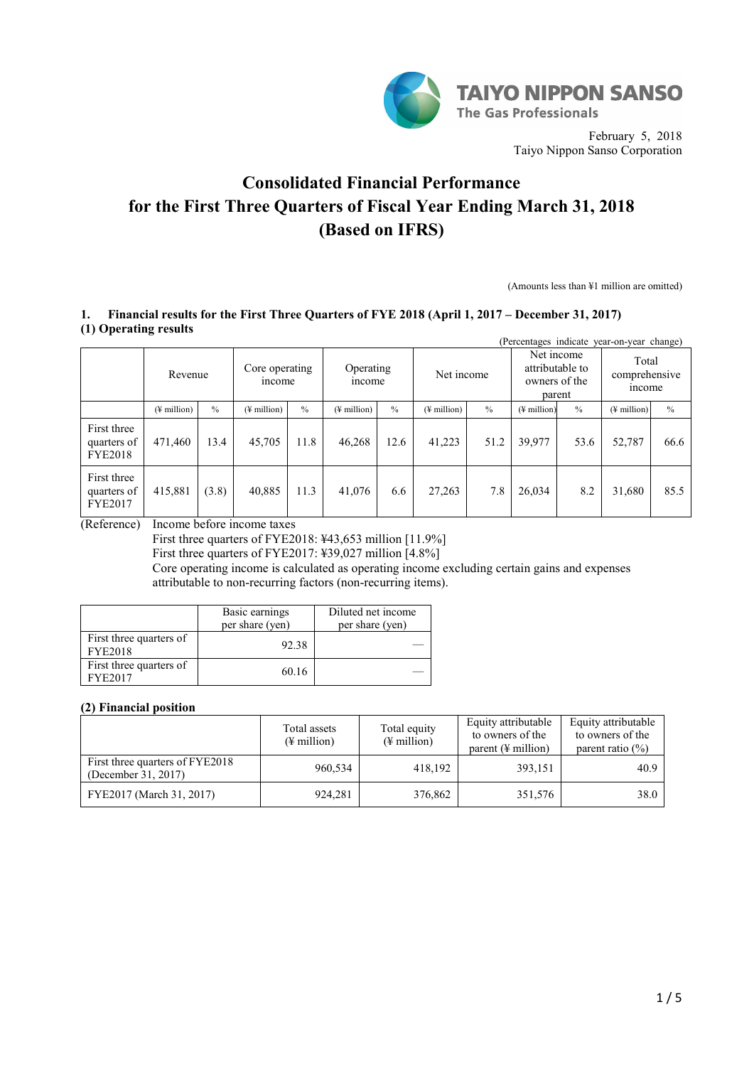

February 5, 2018 Taiyo Nippon Sanso Corporation

## **Consolidated Financial Performance for the First Three Quarters of Fiscal Year Ending March 31, 2018 (Based on IFRS)**

(Amounts less than ¥1 million are omitted)

## **1. Financial results for the First Three Quarters of FYE 2018 (April 1, 2017 – December 31, 2017) (1) Operating results**

| (Percentages indicate year-on-year change)   |                         |                                     |                         |                                   |                         |               |                                                          |               |                                 |               |                         |               |
|----------------------------------------------|-------------------------|-------------------------------------|-------------------------|-----------------------------------|-------------------------|---------------|----------------------------------------------------------|---------------|---------------------------------|---------------|-------------------------|---------------|
|                                              |                         | Core operating<br>Revenue<br>income |                         | Operating<br>Net income<br>income |                         |               | Net income<br>attributable to<br>owners of the<br>parent |               | Total<br>comprehensive<br>mcome |               |                         |               |
|                                              | $(\frac{1}{2}$ million) | $\frac{0}{0}$                       | $(\frac{1}{2}$ million) | $\frac{0}{0}$                     | $(\frac{1}{2}$ million) | $\frac{0}{0}$ | $($ <del>¥</del> million $)$                             | $\frac{0}{0}$ | $(\frac{1}{2})$ million         | $\frac{0}{0}$ | $(\frac{1}{2})$ million | $\frac{0}{0}$ |
| First three<br>quarters of<br><b>FYE2018</b> | 471,460                 | 13.4                                | 45,705                  | 11.8                              | 46,268                  | 12.6          | 41,223                                                   | 51.2          | 39,977                          | 53.6          | 52,787                  | 66.6          |
| First three<br>quarters of<br><b>FYE2017</b> | 415,881                 | (3.8)                               | 40,885                  | 11.3                              | 41,076                  | 6.6           | 27,263                                                   | 7.8           | 26,034                          | 8.2           | 31,680                  | 85.5          |

(Reference) Income before income taxes

First three quarters of FYE2018: ¥43,653 million [11.9%]

First three quarters of FYE2017: ¥39,027 million [4.8%]

Core operating income is calculated as operating income excluding certain gains and expenses attributable to non-recurring factors (non-recurring items).

|                                           | Basic earnings<br>per share (yen) | Diluted net income<br>per share (yen) |
|-------------------------------------------|-----------------------------------|---------------------------------------|
| First three quarters of<br><b>FYE2018</b> | 92.38                             |                                       |
| First three quarters of<br>FYE2017        | 60.16                             |                                       |

## **(2) Financial position**

|                                                        | Total assets<br>$(\frac{1}{2}$ million) | Total equity<br>$(\frac{1}{2}$ million) | Equity attributable<br>to owners of the<br>parent $(\frac{1}{2})$ million | Equity attributable<br>to owners of the<br>parent ratio $(\% )$ |
|--------------------------------------------------------|-----------------------------------------|-----------------------------------------|---------------------------------------------------------------------------|-----------------------------------------------------------------|
| First three quarters of FYE2018<br>(December 31, 2017) | 960,534                                 | 418.192                                 | 393,151                                                                   | 40.9                                                            |
| FYE2017 (March 31, 2017)                               | 924,281                                 | 376,862                                 | 351,576                                                                   | 38.0                                                            |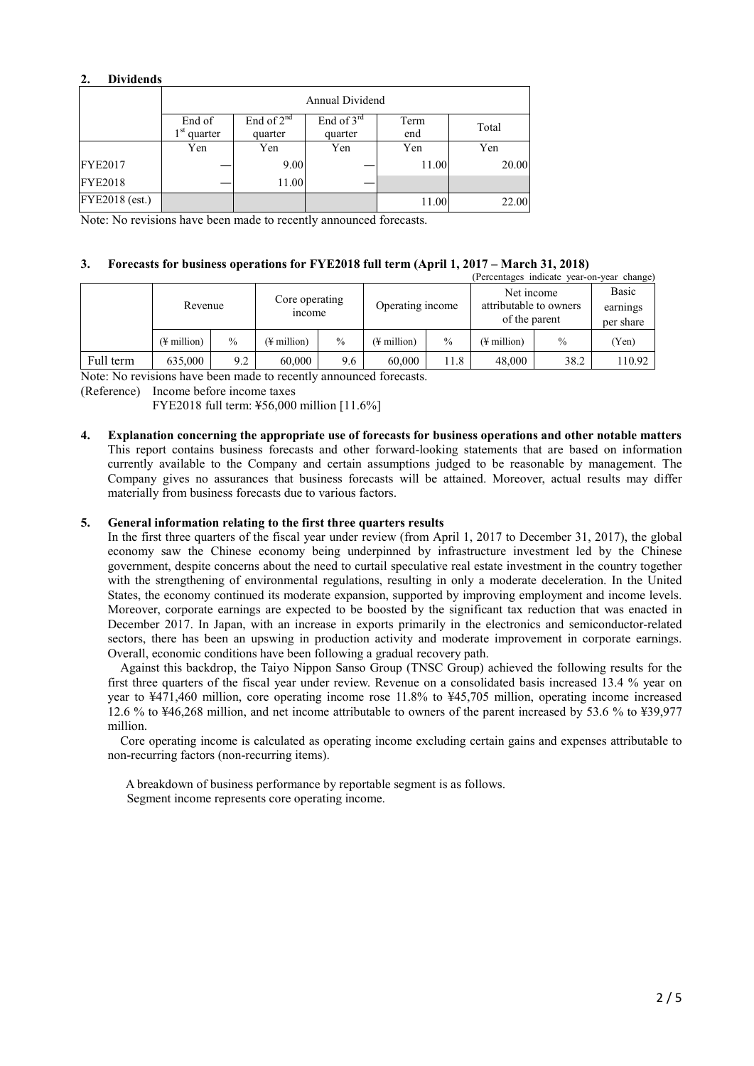## **2. Dividends**

|                | Annual Dividend                   |                            |                         |             |       |  |  |  |
|----------------|-----------------------------------|----------------------------|-------------------------|-------------|-------|--|--|--|
|                | End of<br>1 <sup>st</sup> quarter | End of $2^{nd}$<br>quarter | End of $3rd$<br>quarter | Term<br>end | Total |  |  |  |
|                | Yen                               | Yen                        | Yen                     | Yen         | Yen   |  |  |  |
| <b>FYE2017</b> |                                   | 9.00                       |                         | 11.00       | 20.00 |  |  |  |
| <b>FYE2018</b> |                                   | 11.00                      |                         |             |       |  |  |  |
| FYE2018 (est.) |                                   |                            |                         | 11.00       | 22.00 |  |  |  |

Note: No revisions have been made to recently announced forecasts.

## **3. Forecasts for business operations for FYE2018 full term (April 1, 2017 – March 31, 2018)**

|           |                         |               |                          |               |                  |               | (Percentages indicate year-on-year change)            |               |                                |
|-----------|-------------------------|---------------|--------------------------|---------------|------------------|---------------|-------------------------------------------------------|---------------|--------------------------------|
|           | Revenue                 |               | Core operating<br>income |               | Operating income |               | Net income<br>attributable to owners<br>of the parent |               | Basic<br>earnings<br>per share |
|           | $(\frac{1}{2})$ million | $\frac{0}{0}$ | (¥ million)              | $\frac{0}{0}$ | (¥ million)      | $\frac{0}{0}$ | (¥ million)                                           | $\frac{0}{0}$ | (Yen)                          |
| Full term | 635,000                 | 9.2           | 60.000                   | 9.6           | 60.000           | 11.8          | 48.000                                                | 38.2          | 110.92                         |

Note: No revisions have been made to recently announced forecasts.

(Reference) Income before income taxes

FYE2018 full term: ¥56,000 million [11.6%]

**4. Explanation concerning the appropriate use of forecasts for business operations and other notable matters** This report contains business forecasts and other forward-looking statements that are based on information currently available to the Company and certain assumptions judged to be reasonable by management. The Company gives no assurances that business forecasts will be attained. Moreover, actual results may differ materially from business forecasts due to various factors.

## **5. General information relating to the first three quarters results**

In the first three quarters of the fiscal year under review (from April 1, 2017 to December 31, 2017), the global economy saw the Chinese economy being underpinned by infrastructure investment led by the Chinese government, despite concerns about the need to curtail speculative real estate investment in the country together with the strengthening of environmental regulations, resulting in only a moderate deceleration. In the United States, the economy continued its moderate expansion, supported by improving employment and income levels. Moreover, corporate earnings are expected to be boosted by the significant tax reduction that was enacted in December 2017. In Japan, with an increase in exports primarily in the electronics and semiconductor-related sectors, there has been an upswing in production activity and moderate improvement in corporate earnings. Overall, economic conditions have been following a gradual recovery path.

Against this backdrop, the Taiyo Nippon Sanso Group (TNSC Group) achieved the following results for the first three quarters of the fiscal year under review. Revenue on a consolidated basis increased 13.4 % year on year to ¥471,460 million, core operating income rose 11.8% to ¥45,705 million, operating income increased 12.6 % to ¥46,268 million, and net income attributable to owners of the parent increased by 53.6 % to ¥39,977 million.

Core operating income is calculated as operating income excluding certain gains and expenses attributable to non-recurring factors (non-recurring items).

A breakdown of business performance by reportable segment is as follows. Segment income represents core operating income.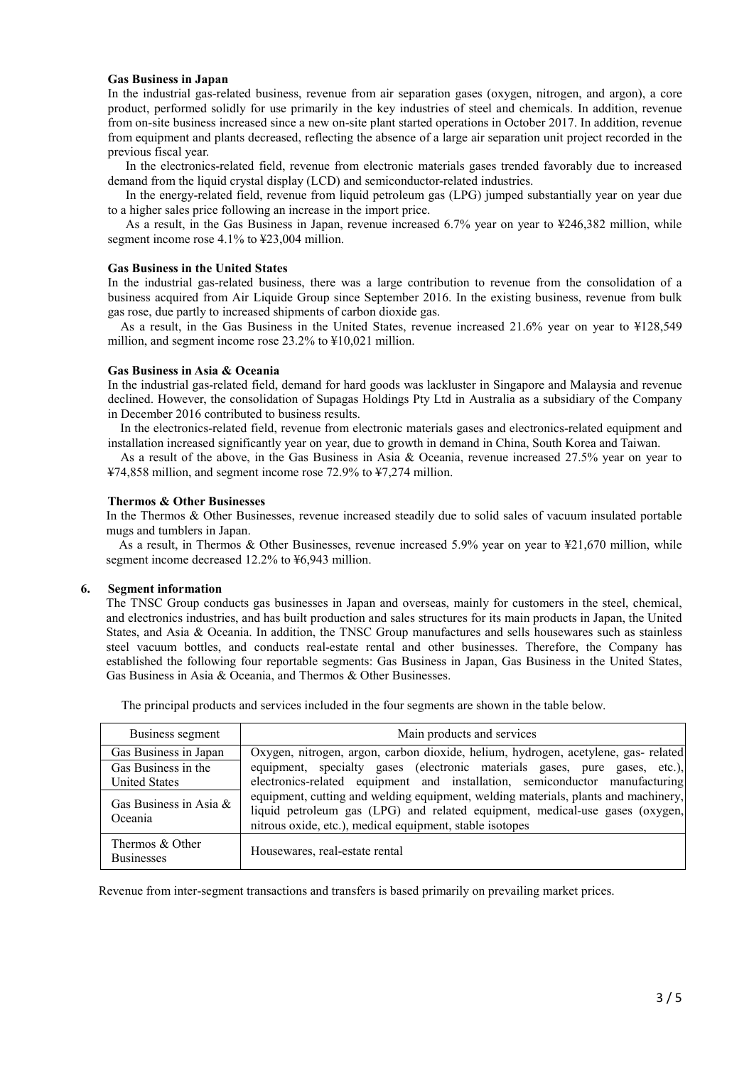#### **Gas Business in Japan**

In the industrial gas-related business, revenue from air separation gases (oxygen, nitrogen, and argon), a core product, performed solidly for use primarily in the key industries of steel and chemicals. In addition, revenue from on-site business increased since a new on-site plant started operations in October 2017. In addition, revenue from equipment and plants decreased, reflecting the absence of a large air separation unit project recorded in the previous fiscal year.

In the electronics-related field, revenue from electronic materials gases trended favorably due to increased demand from the liquid crystal display (LCD) and semiconductor-related industries.

In the energy-related field, revenue from liquid petroleum gas (LPG) jumped substantially year on year due to a higher sales price following an increase in the import price.

As a result, in the Gas Business in Japan, revenue increased 6.7% year on year to ¥246,382 million, while segment income rose 4.1% to ¥23,004 million.

#### **Gas Business in the United States**

In the industrial gas-related business, there was a large contribution to revenue from the consolidation of a business acquired from Air Liquide Group since September 2016. In the existing business, revenue from bulk gas rose, due partly to increased shipments of carbon dioxide gas.

As a result, in the Gas Business in the United States, revenue increased 21.6% year on year to ¥128,549 million, and segment income rose 23.2% to ¥10,021 million.

#### **Gas Business in Asia & Oceania**

In the industrial gas-related field, demand for hard goods was lackluster in Singapore and Malaysia and revenue declined. However, the consolidation of Supagas Holdings Pty Ltd in Australia as a subsidiary of the Company in December 2016 contributed to business results.

In the electronics-related field, revenue from electronic materials gases and electronics-related equipment and installation increased significantly year on year, due to growth in demand in China, South Korea and Taiwan.

As a result of the above, in the Gas Business in Asia & Oceania, revenue increased 27.5% year on year to ¥74,858 million, and segment income rose 72.9% to ¥7,274 million.

#### **Thermos & Other Businesses**

In the Thermos & Other Businesses, revenue increased steadily due to solid sales of vacuum insulated portable mugs and tumblers in Japan.

As a result, in Thermos & Other Businesses, revenue increased 5.9% year on year to ¥21,670 million, while segment income decreased 12.2% to ¥6,943 million.

#### **6. Segment information**

The TNSC Group conducts gas businesses in Japan and overseas, mainly for customers in the steel, chemical, and electronics industries, and has built production and sales structures for its main products in Japan, the United States, and Asia & Oceania. In addition, the TNSC Group manufactures and sells housewares such as stainless steel vacuum bottles, and conducts real-estate rental and other businesses. Therefore, the Company has established the following four reportable segments: Gas Business in Japan, Gas Business in the United States, Gas Business in Asia & Oceania, and Thermos & Other Businesses.

| Business segment                     | Main products and services                                                                                                                                                                                                     |
|--------------------------------------|--------------------------------------------------------------------------------------------------------------------------------------------------------------------------------------------------------------------------------|
| Gas Business in Japan                | Oxygen, nitrogen, argon, carbon dioxide, helium, hydrogen, acetylene, gas-related                                                                                                                                              |
| Gas Business in the                  | equipment, specialty gases (electronic materials gases, pure gases, etc.),                                                                                                                                                     |
| <b>United States</b>                 | electronics-related equipment and installation, semiconductor manufacturing                                                                                                                                                    |
| Gas Business in Asia $\&$<br>Oceania | equipment, cutting and welding equipment, welding materials, plants and machinery,<br>liquid petroleum gas (LPG) and related equipment, medical-use gases (oxygen,<br>nitrous oxide, etc.), medical equipment, stable isotopes |
| Thermos & Other<br><b>Businesses</b> | Housewares, real-estate rental                                                                                                                                                                                                 |

The principal products and services included in the four segments are shown in the table below.

Revenue from inter-segment transactions and transfers is based primarily on prevailing market prices.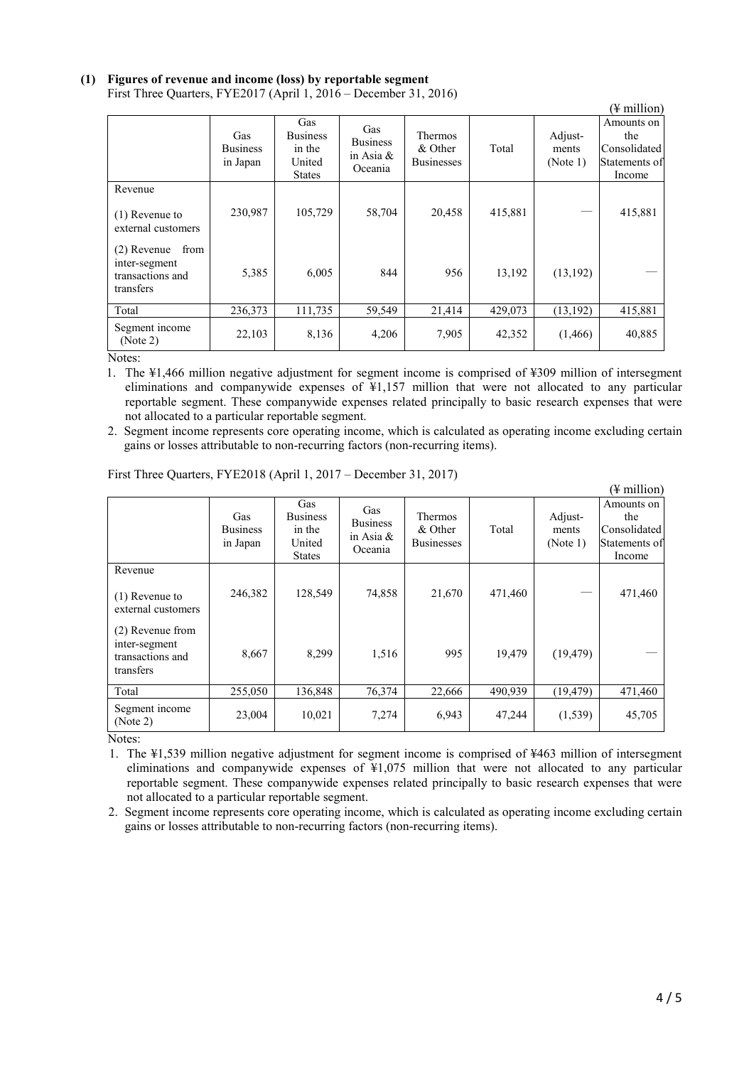# **(1) Figures of revenue and income (loss) by reportable segment**

|                                                                         | $\frac{1}{2}$ and $\frac{1}{2}$ . The state $\frac{1}{2}$ is the state of $\frac{1}{2}$ is the state of $\frac{1}{2}$ is the state of $\frac{1}{2}$ |                                                             |                                                   |                                                |         |                              | $(\frac{1}{2}$ million)                                      |
|-------------------------------------------------------------------------|-----------------------------------------------------------------------------------------------------------------------------------------------------|-------------------------------------------------------------|---------------------------------------------------|------------------------------------------------|---------|------------------------------|--------------------------------------------------------------|
|                                                                         | Gas<br><b>Business</b><br>in Japan                                                                                                                  | Gas<br><b>Business</b><br>in the<br>United<br><b>States</b> | Gas<br><b>Business</b><br>in Asia $\&$<br>Oceania | <b>Thermos</b><br>& Other<br><b>Businesses</b> | Total   | Adjust-<br>ments<br>(Note 1) | Amounts on<br>the<br>Consolidated<br>Statements of<br>Income |
| Revenue<br>$(1)$ Revenue to<br>external customers                       | 230,987                                                                                                                                             | 105,729                                                     | 58,704                                            | 20,458                                         | 415,881 |                              | 415,881                                                      |
| from<br>$(2)$ Revenue<br>inter-segment<br>transactions and<br>transfers | 5,385                                                                                                                                               | 6,005                                                       | 844                                               | 956                                            | 13,192  | (13, 192)                    |                                                              |
| Total                                                                   | 236,373                                                                                                                                             | 111,735                                                     | 59,549                                            | 21,414                                         | 429,073 | (13, 192)                    | 415,881                                                      |
| Segment income<br>(Note 2)                                              | 22,103                                                                                                                                              | 8,136                                                       | 4,206                                             | 7,905                                          | 42,352  | (1,466)                      | 40,885                                                       |

First Three Quarters, FYE2017 (April 1, 2016 – December 31, 2016)

Notes:

1. The ¥1,466 million negative adjustment for segment income is comprised of ¥309 million of intersegment eliminations and companywide expenses of ¥1,157 million that were not allocated to any particular reportable segment. These companywide expenses related principally to basic research expenses that were not allocated to a particular reportable segment.

2. Segment income represents core operating income, which is calculated as operating income excluding certain gains or losses attributable to non-recurring factors (non-recurring items).

|                                                                    |                                    |                                                             |                                                |                                         |         |                              | (¥ million)                                                  |
|--------------------------------------------------------------------|------------------------------------|-------------------------------------------------------------|------------------------------------------------|-----------------------------------------|---------|------------------------------|--------------------------------------------------------------|
|                                                                    | Gas<br><b>Business</b><br>in Japan | Gas<br><b>Business</b><br>in the<br>United<br><b>States</b> | Gas<br><b>Business</b><br>in Asia &<br>Oceania | Thermos<br>& Other<br><b>Businesses</b> | Total   | Adjust-<br>ments<br>(Note 1) | Amounts on<br>the<br>Consolidated<br>Statements of<br>Income |
| Revenue<br>$(1)$ Revenue to<br>external customers                  | 246,382                            | 128,549                                                     | 74,858                                         | 21,670                                  | 471,460 |                              | 471,460                                                      |
| (2) Revenue from<br>inter-segment<br>transactions and<br>transfers | 8,667                              | 8,299                                                       | 1,516                                          | 995                                     | 19,479  | (19, 479)                    |                                                              |
| Total                                                              | 255,050                            | 136,848                                                     | 76,374                                         | 22,666                                  | 490,939 | (19, 479)                    | 471,460                                                      |
| Segment income<br>(Note 2)                                         | 23,004                             | 10,021                                                      | 7,274                                          | 6,943                                   | 47,244  | (1, 539)                     | 45,705                                                       |

First Three Quarters, FYE2018 (April 1, 2017 – December 31, 2017)

Notes:

1. The ¥1,539 million negative adjustment for segment income is comprised of ¥463 million of intersegment eliminations and companywide expenses of ¥1,075 million that were not allocated to any particular reportable segment. These companywide expenses related principally to basic research expenses that were not allocated to a particular reportable segment.

2. Segment income represents core operating income, which is calculated as operating income excluding certain gains or losses attributable to non-recurring factors (non-recurring items).